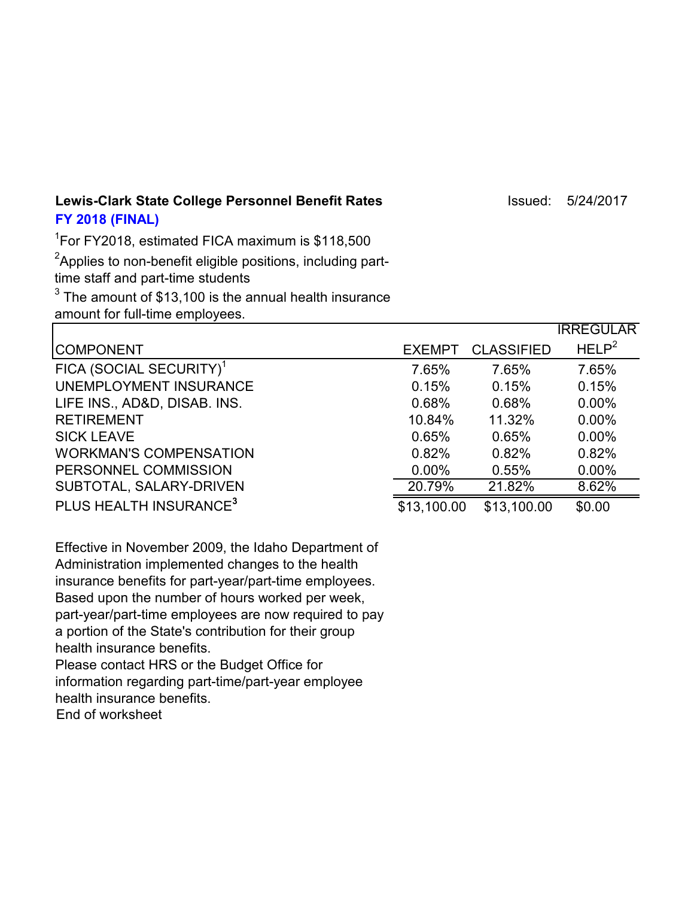**Lewis-Clark State College Personnel Benefit Rates** Issued: 5/24/2017 **FY 2018 (FINAL)**

1 For FY2018, estimated FICA maximum is \$118,500

 ${\rm ^2}$ Applies to non-benefit eligible positions, including parttime staff and part-time students

 $^3$  The amount of \$13,100 is the annual health insurance amount for full-time employees.

|                                     |               |                   | <b>IRREGULAR</b>  |
|-------------------------------------|---------------|-------------------|-------------------|
| <b>COMPONENT</b>                    | <b>EXEMPT</b> | <b>CLASSIFIED</b> | HELP <sup>2</sup> |
| FICA (SOCIAL SECURITY) <sup>1</sup> | 7.65%         | 7.65%             | 7.65%             |
| UNEMPLOYMENT INSURANCE              | 0.15%         | 0.15%             | 0.15%             |
| LIFE INS., AD&D, DISAB. INS.        | 0.68%         | 0.68%             | $0.00\%$          |
| <b>RETIREMENT</b>                   | 10.84%        | 11.32%            | $0.00\%$          |
| <b>SICK LEAVE</b>                   | 0.65%         | 0.65%             | $0.00\%$          |
| <b>WORKMAN'S COMPENSATION</b>       | 0.82%         | 0.82%             | 0.82%             |
| PERSONNEL COMMISSION                | $0.00\%$      | 0.55%             | $0.00\%$          |
| SUBTOTAL, SALARY-DRIVEN             | 20.79%        | 21.82%            | 8.62%             |
| PLUS HEALTH INSURANCE <sup>3</sup>  | \$13,100.00   | \$13,100.00       | \$0.00            |

Effective in November 2009, the Idaho Department of Administration implemented changes to the health insurance benefits for part-year/part-time employees. Based upon the number of hours worked per week, part-year/part-time employees are now required to pay a portion of the State's contribution for their group health insurance benefits.

Please contact HRS or the Budget Office for information regarding part-time/part-year employee health insurance benefits. End of worksheet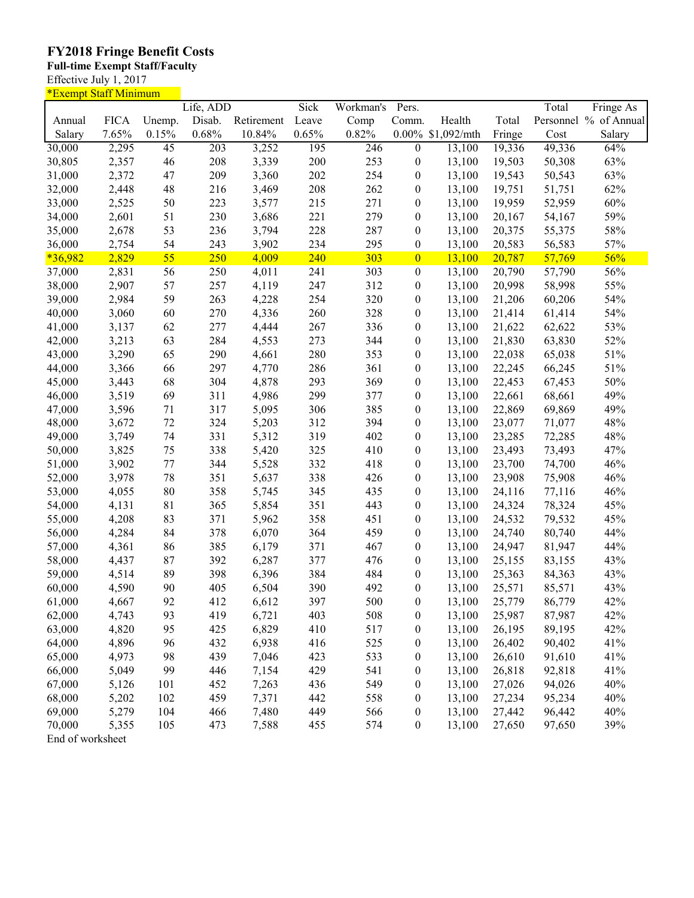## **FY2018 Fringe Benefit Costs**

**Full-time Exempt Staff/Faculty**

Effective July 1, 2017

| <u>*Exempt Staff Minimum</u> |             |        |                  |            |       |           |                  |                   |        |        |                       |
|------------------------------|-------------|--------|------------------|------------|-------|-----------|------------------|-------------------|--------|--------|-----------------------|
|                              |             |        | Life, ADD        |            | Sick  | Workman's | Pers.            |                   |        | Total  | Fringe As             |
| Annual                       | <b>FICA</b> | Unemp. | Disab.           | Retirement | Leave | Comp      | Comm.            | Health            | Total  |        | Personnel % of Annual |
| Salary                       | 7.65%       | 0.15%  | 0.68%            | 10.84%     | 0.65% | 0.82%     |                  | 0.00% \$1,092/mth | Fringe | Cost   | Salary                |
| 30,000                       | 2,295       | 45     | $\overline{203}$ | 3,252      | 195   | 246       | $\boldsymbol{0}$ | 13,100            | 19,336 | 49,336 | 64%                   |
| 30,805                       | 2,357       | 46     | 208              | 3,339      | 200   | 253       | $\boldsymbol{0}$ | 13,100            | 19,503 | 50,308 | 63%                   |
| 31,000                       | 2,372       | 47     | 209              | 3,360      | 202   | 254       | $\boldsymbol{0}$ | 13,100            | 19,543 | 50,543 | 63%                   |
| 32,000                       | 2,448       | 48     | 216              | 3,469      | 208   | 262       | $\boldsymbol{0}$ | 13,100            | 19,751 | 51,751 | 62%                   |
| 33,000                       | 2,525       | 50     | 223              | 3,577      | 215   | 271       | $\boldsymbol{0}$ | 13,100            | 19,959 | 52,959 | 60%                   |
| 34,000                       | 2,601       | 51     | 230              | 3,686      | 221   | 279       | $\boldsymbol{0}$ | 13,100            | 20,167 | 54,167 | 59%                   |
| 35,000                       | 2,678       | 53     | 236              | 3,794      | 228   | 287       | $\boldsymbol{0}$ | 13,100            | 20,375 | 55,375 | 58%                   |
| 36,000                       | 2,754       | 54     | 243              | 3,902      | 234   | 295       | $\boldsymbol{0}$ | 13,100            | 20,583 | 56,583 | 57%                   |
| $*36,982$                    | 2,829       | 55     | 250              | 4,009      | 240   | 303       | $\boldsymbol{0}$ | 13,100            | 20,787 | 57,769 | 56%                   |
| 37,000                       | 2,831       | 56     | 250              | 4,011      | 241   | 303       | $\boldsymbol{0}$ | 13,100            | 20,790 | 57,790 | 56%                   |
| 38,000                       | 2,907       | 57     | 257              | 4,119      | 247   | 312       | $\boldsymbol{0}$ | 13,100            | 20,998 | 58,998 | 55%                   |
| 39,000                       | 2,984       | 59     | 263              | 4,228      | 254   | 320       | $\boldsymbol{0}$ | 13,100            | 21,206 | 60,206 | 54%                   |
| 40,000                       | 3,060       | 60     | 270              | 4,336      | 260   | 328       | $\boldsymbol{0}$ | 13,100            | 21,414 | 61,414 | 54%                   |
| 41,000                       | 3,137       | 62     | 277              | 4,444      | 267   | 336       | $\boldsymbol{0}$ | 13,100            | 21,622 | 62,622 | 53%                   |
| 42,000                       | 3,213       | 63     | 284              | 4,553      | 273   | 344       | $\boldsymbol{0}$ | 13,100            | 21,830 | 63,830 | 52%                   |
| 43,000                       | 3,290       | 65     | 290              | 4,661      | 280   | 353       | $\boldsymbol{0}$ | 13,100            | 22,038 | 65,038 | 51%                   |
| 44,000                       | 3,366       | 66     | 297              | 4,770      | 286   | 361       | $\boldsymbol{0}$ | 13,100            | 22,245 | 66,245 | 51%                   |
| 45,000                       | 3,443       | 68     | 304              | 4,878      | 293   | 369       | $\boldsymbol{0}$ | 13,100            | 22,453 | 67,453 | 50%                   |
| 46,000                       | 3,519       | 69     | 311              | 4,986      | 299   | 377       | $\boldsymbol{0}$ | 13,100            | 22,661 | 68,661 | 49%                   |
| 47,000                       | 3,596       | 71     | 317              | 5,095      | 306   | 385       | $\boldsymbol{0}$ | 13,100            | 22,869 | 69,869 | 49%                   |
| 48,000                       | 3,672       | 72     | 324              | 5,203      | 312   | 394       | $\boldsymbol{0}$ | 13,100            | 23,077 | 71,077 | 48%                   |
| 49,000                       | 3,749       | 74     | 331              | 5,312      | 319   | 402       | $\boldsymbol{0}$ | 13,100            | 23,285 | 72,285 | 48%                   |
| 50,000                       | 3,825       | 75     | 338              | 5,420      | 325   | 410       | $\boldsymbol{0}$ | 13,100            | 23,493 | 73,493 | 47%                   |
| 51,000                       | 3,902       | 77     | 344              | 5,528      | 332   | 418       | $\boldsymbol{0}$ | 13,100            | 23,700 | 74,700 | 46%                   |
| 52,000                       | 3,978       | 78     | 351              | 5,637      | 338   | 426       | $\boldsymbol{0}$ | 13,100            | 23,908 | 75,908 | 46%                   |
| 53,000                       | 4,055       | 80     | 358              | 5,745      | 345   | 435       | $\boldsymbol{0}$ | 13,100            | 24,116 | 77,116 | 46%                   |
| 54,000                       | 4,131       | 81     | 365              | 5,854      | 351   | 443       | $\boldsymbol{0}$ | 13,100            | 24,324 | 78,324 | 45%                   |
| 55,000                       | 4,208       | 83     | 371              | 5,962      | 358   | 451       | $\boldsymbol{0}$ | 13,100            | 24,532 | 79,532 | 45%                   |
| 56,000                       | 4,284       | 84     | 378              | 6,070      | 364   | 459       | $\boldsymbol{0}$ | 13,100            | 24,740 | 80,740 | 44%                   |
| 57,000                       | 4,361       | 86     | 385              | 6,179      | 371   | 467       | $\boldsymbol{0}$ | 13,100            | 24,947 | 81,947 | 44%                   |
| 58,000                       | 4,437       | 87     | 392              | 6,287      | 377   | 476       | $\boldsymbol{0}$ | 13,100            | 25,155 | 83,155 | 43%                   |
| 59,000                       | 4,514       | 89     | 398              | 6,396      | 384   | 484       | $\boldsymbol{0}$ | 13,100            | 25,363 | 84,363 | 43%                   |
| 60,000                       | 4,590       | 90     | 405              | 6,504      | 390   | 492       | $\boldsymbol{0}$ | 13,100            | 25,571 | 85,571 | 43%                   |
| 61,000                       | 4,667       | 92     | 412              | 6,612      | 397   | 500       | 0                | 13,100            | 25,779 | 86,779 | 42%                   |
| 62,000                       | 4,743       | 93     | 419              | 6,721      | 403   | 508       | $\boldsymbol{0}$ | 13,100            | 25,987 | 87,987 | 42%                   |
| 63,000                       | 4,820       | 95     | 425              | 6,829      | 410   | 517       |                  | 13,100            | 26,195 | 89,195 | 42%                   |
| 64,000                       | 4,896       | 96     | 432              | 6,938      | 416   | 525       | $\boldsymbol{0}$ | 13,100            | 26,402 | 90,402 | 41%                   |
| 65,000                       | 4,973       | 98     | 439              |            | 423   | 533       | $\boldsymbol{0}$ | 13,100            | 26,610 | 91,610 | 41%                   |
|                              |             |        |                  | 7,046      |       |           | $\boldsymbol{0}$ |                   |        |        |                       |
| 66,000                       | 5,049       | 99     | 446              | 7,154      | 429   | 541       | $\boldsymbol{0}$ | 13,100            | 26,818 | 92,818 | 41%                   |
| 67,000                       | 5,126       | 101    | 452              | 7,263      | 436   | 549       | $\boldsymbol{0}$ | 13,100            | 27,026 | 94,026 | 40%                   |
| 68,000                       | 5,202       | 102    | 459              | 7,371      | 442   | 558       | $\boldsymbol{0}$ | 13,100            | 27,234 | 95,234 | 40%                   |
| 69,000                       | 5,279       | 104    | 466              | 7,480      | 449   | 566       | $\boldsymbol{0}$ | 13,100            | 27,442 | 96,442 | 40%                   |
| 70,000                       | 5,355       | 105    | 473              | 7,588      | 455   | 574       | $\boldsymbol{0}$ | 13,100            | 27,650 | 97,650 | 39%                   |
| End of worksheet             |             |        |                  |            |       |           |                  |                   |        |        |                       |